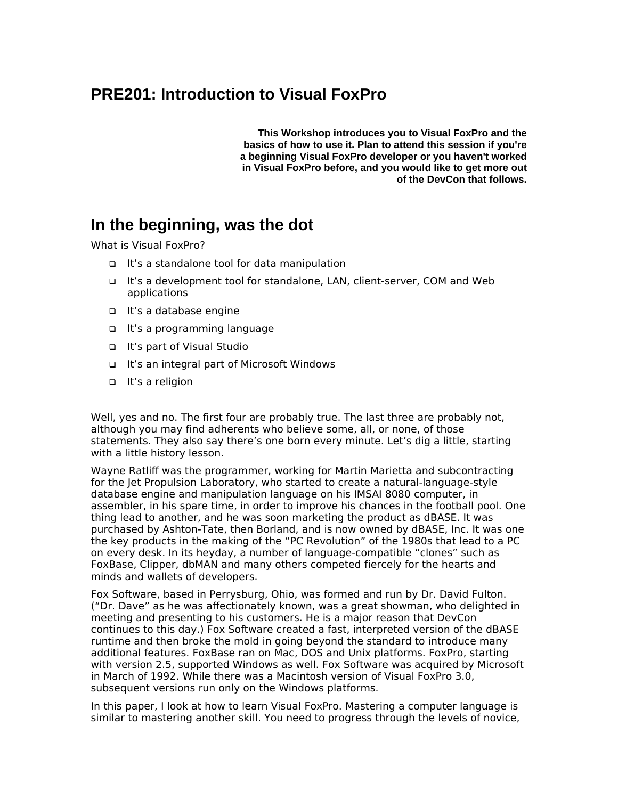## **PRE201: Introduction to Visual FoxPro**

**This Workshop introduces you to Visual FoxPro and the basics of how to use it. Plan to attend this session if you're a beginning Visual FoxPro developer or you haven't worked in Visual FoxPro before, and you would like to get more out of the DevCon that follows.**

### **In the beginning, was the dot**

What is Visual FoxPro?

- It's a standalone tool for data manipulation
- It's a development tool for standalone, LAN, client-server, COM and Web applications
- It's a database engine
- It's a programming language
- It's part of Visual Studio
- It's an integral part of Microsoft Windows
- □ It's a religion

Well, yes and no. The first four are probably true. The last three are probably not, although you may find adherents who believe some, all, or none, of those statements. They also say there's one born every minute. Let's dig a little, starting with a little history lesson.

Wayne Ratliff was the programmer, working for Martin Marietta and subcontracting for the Jet Propulsion Laboratory, who started to create a natural-language-style database engine and manipulation language on his IMSAI 8080 computer, in assembler, in his spare time, in order to improve his chances in the football pool. One thing lead to another, and he was soon marketing the product as dBASE. It was purchased by Ashton-Tate, then Borland, and is now owned by dBASE, Inc. It was one the key products in the making of the "PC Revolution" of the 1980s that lead to a PC on every desk. In its heyday, a number of language-compatible "clones" such as FoxBase, Clipper, dbMAN and many others competed fiercely for the hearts and minds and wallets of developers.

Fox Software, based in Perrysburg, Ohio, was formed and run by Dr. David Fulton. ("Dr. Dave" as he was affectionately known, was a great showman, who delighted in meeting and presenting to his customers. He is a major reason that DevCon continues to this day.) Fox Software created a fast, interpreted version of the dBASE runtime and then broke the mold in going beyond the standard to introduce many additional features. FoxBase ran on Mac, DOS and Unix platforms. FoxPro, starting with version 2.5, supported Windows as well. Fox Software was acquired by Microsoft in March of 1992. While there was a Macintosh version of Visual FoxPro 3.0, subsequent versions run only on the Windows platforms.

In this paper, I look at how to learn Visual FoxPro. Mastering a computer language is similar to mastering another skill. You need to progress through the levels of novice,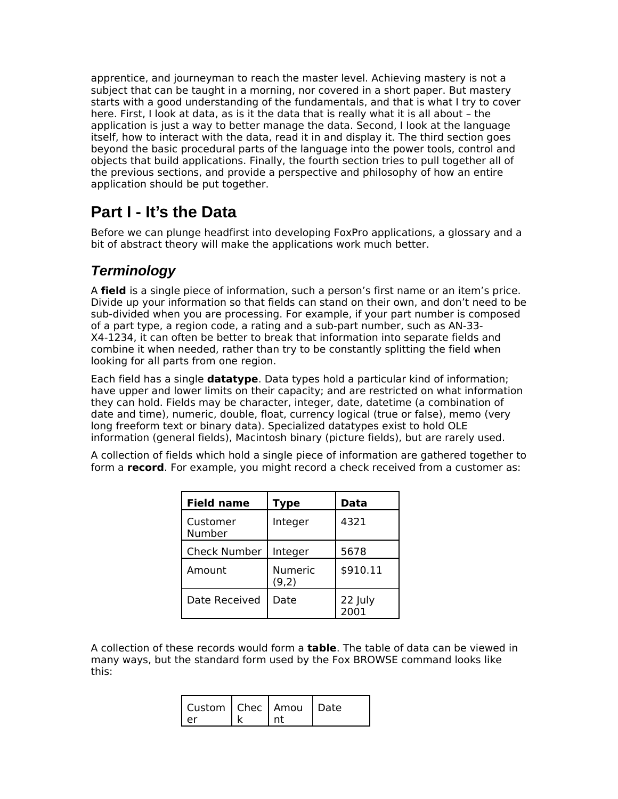apprentice, and journeyman to reach the master level. Achieving mastery is not a subject that can be taught in a morning, nor covered in a short paper. But mastery starts with a good understanding of the fundamentals, and that is what I try to cover here. First, I look at data, as is it the data that is really what it is all about – the application is just a way to better manage the data. Second, I look at the language itself, how to interact with the data, read it in and display it. The third section goes beyond the basic procedural parts of the language into the power tools, control and objects that build applications. Finally, the fourth section tries to pull together all of the previous sections, and provide a perspective and philosophy of how an entire application should be put together.

## **Part I - It's the Data**

Before we can plunge headfirst into developing FoxPro applications, a glossary and a bit of abstract theory will make the applications work much better.

### *Terminology*

A **field** is a single piece of information, such a person's first name or an item's price. Divide up your information so that fields can stand on their own, and don't need to be sub-divided when you are processing. For example, if your part number is composed of a part type, a region code, a rating and a sub-part number, such as AN-33- X4-1234, it can often be better to break that information into separate fields and combine it when needed, rather than try to be constantly splitting the field when looking for all parts from one region.

Each field has a single **datatype**. Data types hold a particular kind of information; have upper and lower limits on their capacity; and are restricted on what information they can hold. Fields may be character, integer, date, datetime (a combination of date and time), numeric, double, float, currency logical (true or false), memo (very long freeform text or binary data). Specialized datatypes exist to hold OLE information (general fields), Macintosh binary (picture fields), but are rarely used.

A collection of fields which hold a single piece of information are gathered together to form a **record**. For example, you might record a check received from a customer as:

| <b>Field name</b>   | <b>Type</b>             | Data            |
|---------------------|-------------------------|-----------------|
| Customer<br>Number  | Integer                 | 4321            |
| <b>Check Number</b> | Integer                 | 5678            |
| Amount              | <b>Numeric</b><br>(9,2) | \$910.11        |
| Date Received       | Date                    | 22 July<br>2001 |

A collection of these records would form a **table**. The table of data can be viewed in many ways, but the standard form used by the Fox BROWSE command looks like this:

| Custom   Chec   Amou   Date |  |  |
|-----------------------------|--|--|
|                             |  |  |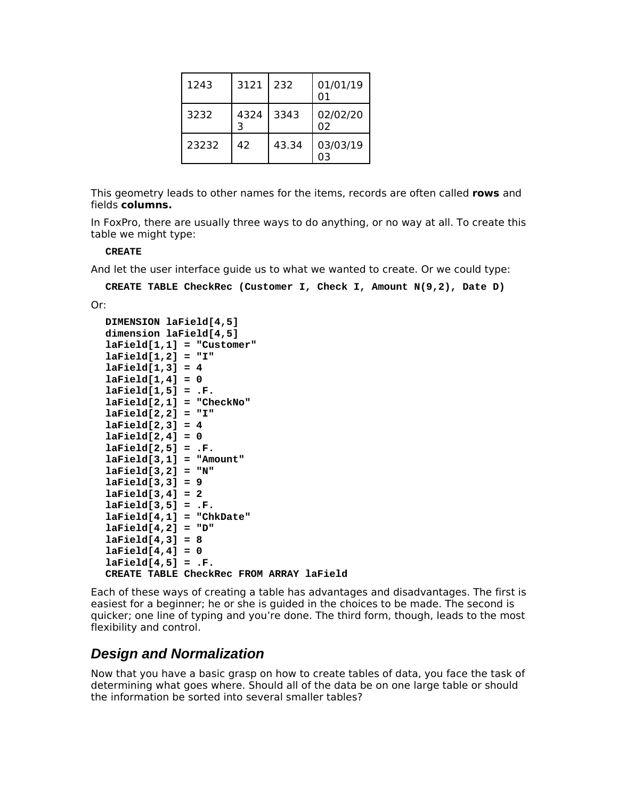| 1243  | 3121 | 232   | 01/01/19<br>01 |
|-------|------|-------|----------------|
| 3232  | 4324 | 3343  | 02/02/20<br>02 |
| 23232 | 42   | 43.34 | 03/03/19       |

This geometry leads to other names for the items, records are often called **rows** and fields **columns.**

In FoxPro, there are usually three ways to do anything, or no way at all. To create this table we might type:

#### **CREATE**

And let the user interface guide us to what we wanted to create. Or we could type:

**CREATE TABLE CheckRec (Customer I, Check I, Amount N(9,2), Date D)**

Or:

```
DIMENSION laField[4,5]
dimension laField[4,5]
laField[1,1] = "Customer"
laField[1,2] = "I"
laField[1,3] = 4
laField[1,4] = 0
laField[1,5] = .F.
laField[2,1] = "CheckNo"
laField[2,2] = "I"
laField[2,3] = 4
laField[2,4] = 0
laField[2,5] = .F.
laField[3,1] = "Amount"
laField[3,2] = "N"
laField[3,3] = 9
laField[3,4] = 2
laField[3,5] = .F.
laField[4,1] = "ChkDate"
laField[4, 2] = "D"laField[4,3] = 8
laField[4,4] = 0
laField[4,5] = .F.
CREATE TABLE CheckRec FROM ARRAY laField
```
Each of these ways of creating a table has advantages and disadvantages. The first is easiest for a beginner; he or she is guided in the choices to be made. The second is quicker; one line of typing and you're done. The third form, though, leads to the most flexibility and control.

#### *Design and Normalization*

Now that you have a basic grasp on how to create tables of data, you face the task of determining what goes where. Should all of the data be on one large table or should the information be sorted into several smaller tables?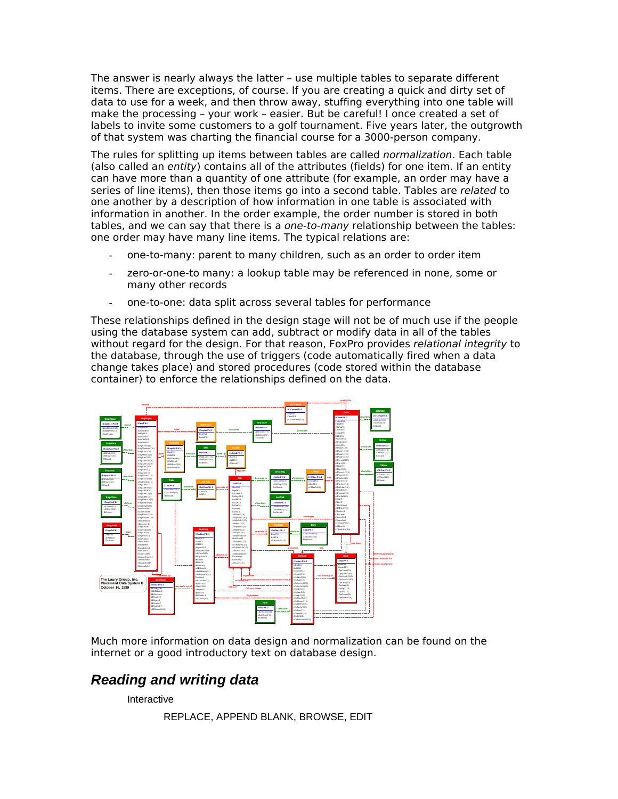The answer is nearly always the latter – use multiple tables to separate different items. There are exceptions, of course. If you are creating a quick and dirty set of data to use for a week, and then throw away, stuffing everything into one table will make the processing – your work – easier. But be careful! I once created a set of labels to invite some customers to a golf tournament. Five years later, the outgrowth of that system was charting the financial course for a 3000-person company.

The rules for splitting up items between tables are called normalization. Each table (also called an entity) contains all of the attributes (fields) for one item. If an entity can have more than a quantity of one attribute (for example, an order may have a series of line items), then those items go into a second table. Tables are related to one another by a description of how information in one table is associated with information in another. In the order example, the order number is stored in both tables, and we can say that there is a *one-to-many* relationship between the tables: one order may have many line items. The typical relations are:

- one-to-many: parent to many children, such as an order to order item
- zero-or-one-to many: a lookup table may be referenced in none, some or many other records
- one-to-one: data split across several tables for performance

These relationships defined in the design stage will not be of much use if the people using the database system can add, subtract or modify data in all of the tables without regard for the design. For that reason, FoxPro provides relational integrity to the database, through the use of triggers (code automatically fired when a data change takes place) and stored procedures (code stored within the database container) to enforce the relationships defined on the data.



Much more information on data design and normalization can be found on the internet or a good introductory text on database design.

### *Reading and writing data*

Interactive

REPLACE, APPEND BLANK, BROWSE, EDIT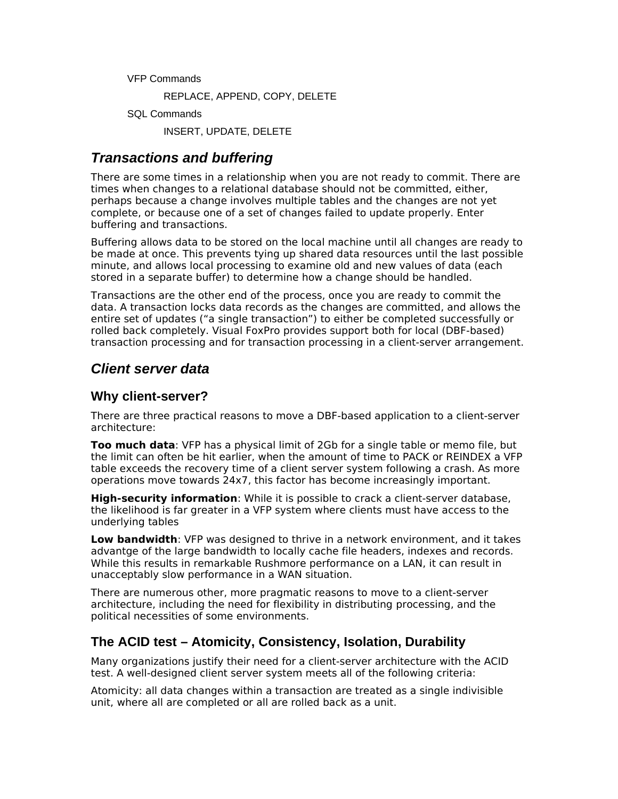VFP Commands

REPLACE, APPEND, COPY, DELETE

SQL Commands

INSERT, UPDATE, DELETE

#### *Transactions and buffering*

There are some times in a relationship when you are not ready to commit. There are times when changes to a relational database should not be committed, either, perhaps because a change involves multiple tables and the changes are not yet complete, or because one of a set of changes failed to update properly. Enter buffering and transactions.

Buffering allows data to be stored on the local machine until all changes are ready to be made at once. This prevents tying up shared data resources until the last possible minute, and allows local processing to examine old and new values of data (each stored in a separate buffer) to determine how a change should be handled.

Transactions are the other end of the process, once you are ready to commit the data. A transaction locks data records as the changes are committed, and allows the entire set of updates ("a single transaction") to either be completed successfully or rolled back completely. Visual FoxPro provides support both for local (DBF-based) transaction processing and for transaction processing in a client-server arrangement.

#### *Client server data*

#### **Why client-server?**

There are three practical reasons to move a DBF-based application to a client-server architecture:

**Too much data**: VFP has a physical limit of 2Gb for a single table or memo file, but the limit can often be hit earlier, when the amount of time to PACK or REINDEX a VFP table exceeds the recovery time of a client server system following a crash. As more operations move towards 24x7, this factor has become increasingly important.

**High-security information**: While it is possible to crack a client-server database, the likelihood is far greater in a VFP system where clients must have access to the underlying tables

**Low bandwidth**: VFP was designed to thrive in a network environment, and it takes advantge of the large bandwidth to locally cache file headers, indexes and records. While this results in remarkable Rushmore performance on a LAN, it can result in unacceptably slow performance in a WAN situation.

There are numerous other, more pragmatic reasons to move to a client-server architecture, including the need for flexibility in distributing processing, and the political necessities of some environments.

#### **The ACID test – Atomicity, Consistency, Isolation, Durability**

Many organizations justify their need for a client-server architecture with the ACID test. A well-designed client server system meets all of the following criteria:

Atomicity: all data changes within a transaction are treated as a single indivisible unit, where all are completed or all are rolled back as a unit.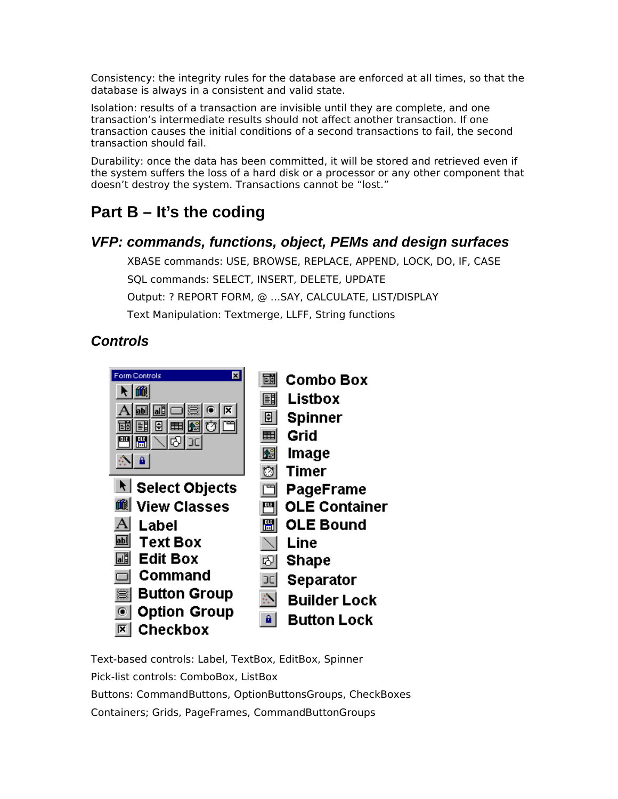Consistency: the integrity rules for the database are enforced at all times, so that the database is always in a consistent and valid state.

Isolation: results of a transaction are invisible until they are complete, and one transaction's intermediate results should not affect another transaction. If one transaction causes the initial conditions of a second transactions to fail, the second transaction should fail.

Durability: once the data has been committed, it will be stored and retrieved even if the system suffers the loss of a hard disk or a processor or any other component that doesn't destroy the system. Transactions cannot be "lost."

# **Part B – It's the coding**

#### *VFP: commands, functions, object, PEMs and design surfaces*

XBASE commands: USE, BROWSE, REPLACE, APPEND, LOCK, DO, IF, CASE SQL commands: SELECT, INSERT, DELETE, UPDATE Output: ? REPORT FORM, @ …SAY, CALCULATE, LIST/DISPLAY Text Manipulation: Textmerge, LLFF, String functions

### *Controls*



Text-based controls: Label, TextBox, EditBox, Spinner Pick-list controls: ComboBox, ListBox Buttons: CommandButtons, OptionButtonsGroups, CheckBoxes Containers; Grids, PageFrames, CommandButtonGroups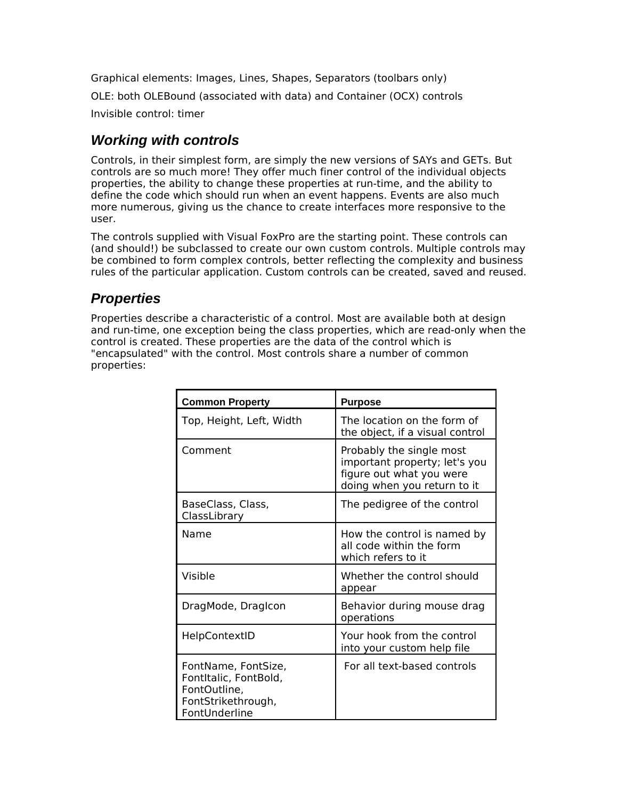Graphical elements: Images, Lines, Shapes, Separators (toolbars only) OLE: both OLEBound (associated with data) and Container (OCX) controls Invisible control: timer

## *Working with controls*

Controls, in their simplest form, are simply the new versions of SAYs and GETs. But controls are so much more! They offer much finer control of the individual objects properties, the ability to change these properties at run-time, and the ability to define the code which should run when an event happens. Events are also much more numerous, giving us the chance to create interfaces more responsive to the user.

The controls supplied with Visual FoxPro are the starting point. These controls can (and should!) be subclassed to create our own custom controls. Multiple controls may be combined to form complex controls, better reflecting the complexity and business rules of the particular application. Custom controls can be created, saved and reused.

## *Properties*

Properties describe a characteristic of a control. Most are available both at design and run-time, one exception being the class properties, which are read-only when the control is created. These properties are the data of the control which is "encapsulated" with the control. Most controls share a number of common properties:

| <b>Common Property</b>                                                                              | <b>Purpose</b>                                                                                                       |
|-----------------------------------------------------------------------------------------------------|----------------------------------------------------------------------------------------------------------------------|
| Top, Height, Left, Width                                                                            | The location on the form of<br>the object, if a visual control                                                       |
| Comment                                                                                             | Probably the single most<br>important property; let's you<br>figure out what you were<br>doing when you return to it |
| BaseClass, Class,<br>ClassLibrary                                                                   | The pedigree of the control                                                                                          |
| Name                                                                                                | How the control is named by<br>all code within the form<br>which refers to it                                        |
| Visible                                                                                             | Whether the control should<br>appear                                                                                 |
| DragMode, DragIcon                                                                                  | Behavior during mouse drag<br>operations                                                                             |
| HelpContextID                                                                                       | Your hook from the control<br>into your custom help file                                                             |
| FontName, FontSize,<br>FontItalic, FontBold,<br>FontOutline,<br>FontStrikethrough,<br>FontUnderline | For all text-based controls                                                                                          |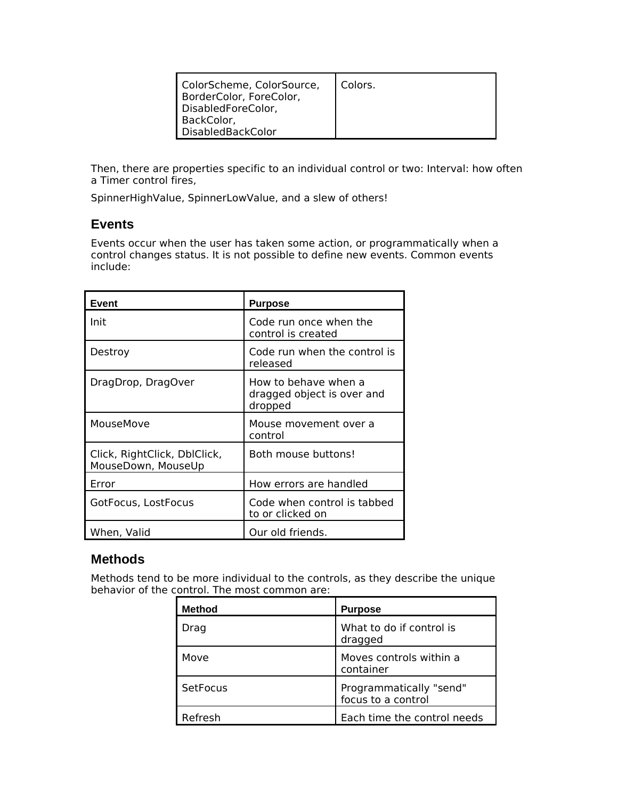| ColorScheme, ColorSource,<br>BorderColor, ForeColor,<br>DisabledForeColor,<br>BackColor,<br>DisabledBackColor | Colors. |
|---------------------------------------------------------------------------------------------------------------|---------|
|---------------------------------------------------------------------------------------------------------------|---------|

Then, there are properties specific to an individual control or two: Interval: how often a Timer control fires,

SpinnerHighValue, SpinnerLowValue, and a slew of others!

#### **Events**

Events occur when the user has taken some action, or programmatically when a control changes status. It is not possible to define new events. Common events include:

| Event                                              | <b>Purpose</b>                                                |
|----------------------------------------------------|---------------------------------------------------------------|
| Init                                               | Code run once when the<br>control is created                  |
| Destroy                                            | Code run when the control is<br>released                      |
| DragDrop, DragOver                                 | How to behave when a<br>dragged object is over and<br>dropped |
| MouseMove                                          | Mouse movement over a<br>control                              |
| Click, RightClick, DblClick,<br>MouseDown, MouseUp | Both mouse buttons!                                           |
| Error                                              | How errors are handled                                        |
| GotFocus, LostFocus                                | Code when control is tabbed<br>to or clicked on               |
| When, Valid                                        | Our old friends.                                              |

#### **Methods**

Methods tend to be more individual to the controls, as they describe the unique behavior of the control. The most common are:

| <b>Method</b> | <b>Purpose</b>                                |
|---------------|-----------------------------------------------|
| Drag          | What to do if control is<br>dragged           |
| Move          | Moves controls within a<br>container          |
| SetFocus      | Programmatically "send"<br>focus to a control |
| Refresh       | Each time the control needs                   |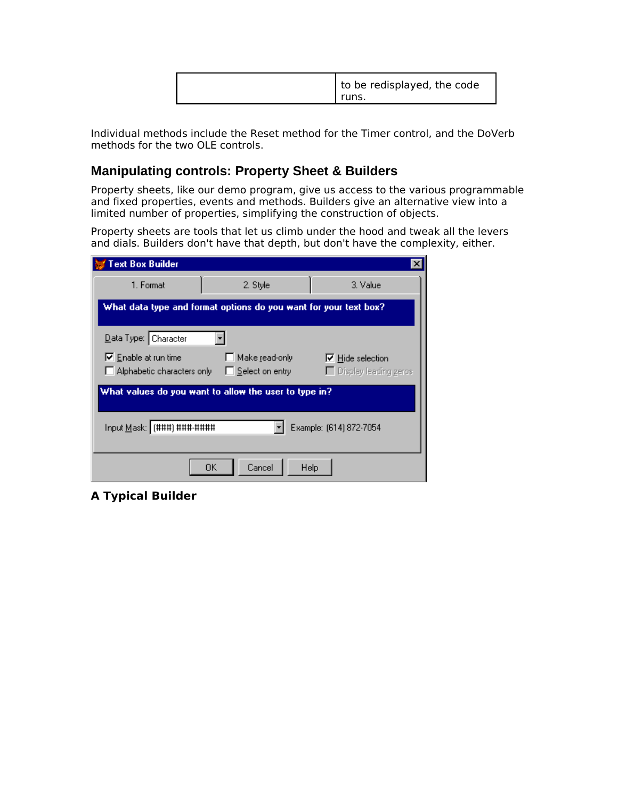| to be redisplayed, the code<br>runs. |
|--------------------------------------|
|--------------------------------------|

Individual methods include the Reset method for the Timer control, and the DoVerb methods for the two OLE controls.

#### **Manipulating controls: Property Sheet & Builders**

Property sheets, like our demo program, give us access to the various programmable and fixed properties, events and methods. Builders give an alternative view into a limited number of properties, simplifying the construction of objects.

Property sheets are tools that let us climb under the hood and tweak all the levers and dials. Builders don't have that depth, but don't have the complexity, either.

| <b>Text Box Builder</b>                                          |                                   |                                                    |
|------------------------------------------------------------------|-----------------------------------|----------------------------------------------------|
| 1. Format                                                        | 2. Style                          | 3. Value                                           |
| What data type and format options do you want for your text box? |                                   |                                                    |
| Data Type: Character                                             |                                   |                                                    |
| $\nabla$ Enable at run time<br>Alphabetic characters only        | Make read-only<br>Select on entry | $\nabla$ Hide selection<br>□ Display leading zeros |
| What values do you want to allow the user to type in?            |                                   |                                                    |
| Input Mask: (###) ###-####                                       |                                   | Example: (614) 872-7054                            |
|                                                                  | 0K.<br>Cancel                     | Help                                               |

**A Typical Builder**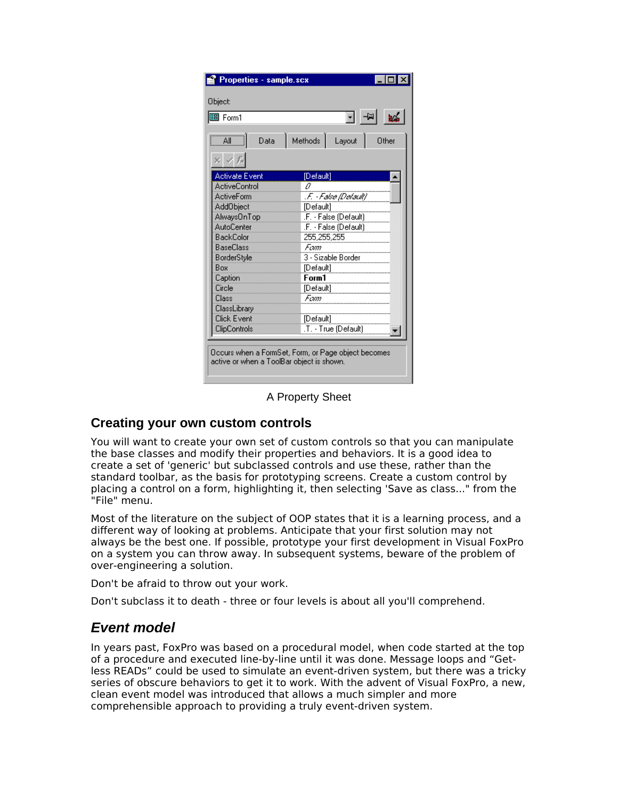| 圖 Form1                               | न +≥। ⊯≼                   |
|---------------------------------------|----------------------------|
|                                       |                            |
| $\overline{A}$ $\overline{A}$<br>Data | Methods<br>Layout<br>Other |
| $\times$ $\times$ fx                  |                            |
| Activate Event                        | [Default]                  |
| <b>ActiveControl</b>                  | Ω                          |
| <b>ActiveForm</b>                     | .F. - False (Default)      |
| Add0bject                             | [Default]                  |
| AlwaysOnTop                           | .F. - False (Default)      |
| <b>AutoCenter</b>                     | .F. - False (Default).     |
| <b>BackColor</b>                      | 255,255,255                |
| <b>BaseClass</b>                      | Fam                        |
| BorderStyle                           | 3 - Sizable Border         |
| Box                                   | [Default]                  |
| Caption                               | Form1                      |
| Circle                                | [Default]                  |
| Class                                 | Fam                        |
| ClassLibrary<br><b>Click Event</b>    |                            |
|                                       | [Default]                  |
| ClipControls                          | .T. - True (Default)       |

A Property Sheet

#### **Creating your own custom controls**

You will want to create your own set of custom controls so that you can manipulate the base classes and modify their properties and behaviors. It is a good idea to create a set of 'generic' but subclassed controls and use these, rather than the standard toolbar, as the basis for prototyping screens. Create a custom control by placing a control on a form, highlighting it, then selecting 'Save as class..." from the "File" menu.

Most of the literature on the subject of OOP states that it is a learning process, and a different way of looking at problems. Anticipate that your first solution may not always be the best one. If possible, prototype your first development in Visual FoxPro on a system you can throw away. In subsequent systems, beware of the problem of over-engineering a solution.

Don't be afraid to throw out your work.

Don't subclass it to death - three or four levels is about all you'll comprehend.

### *Event model*

In years past, FoxPro was based on a procedural model, when code started at the top of a procedure and executed line-by-line until it was done. Message loops and "Getless READs" could be used to simulate an event-driven system, but there was a tricky series of obscure behaviors to get it to work. With the advent of Visual FoxPro, a new, clean event model was introduced that allows a much simpler and more comprehensible approach to providing a truly event-driven system.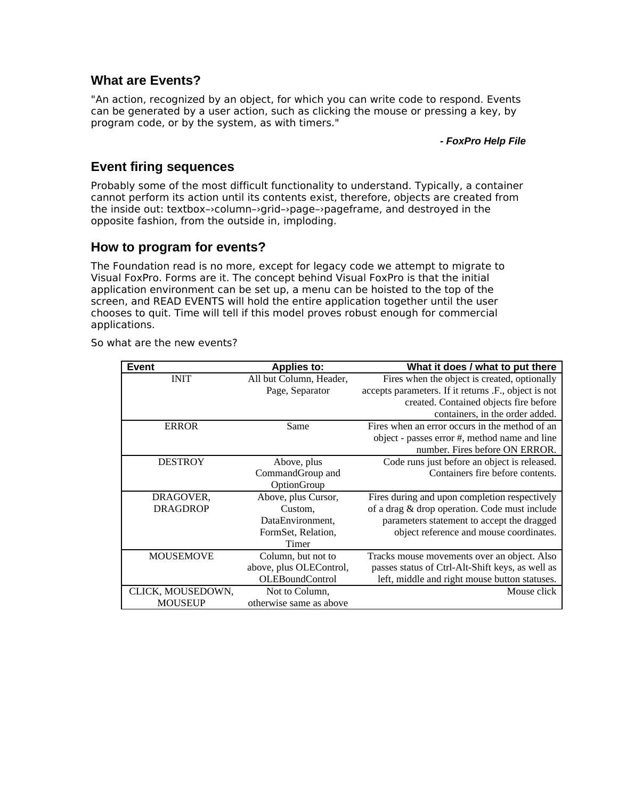#### **What are Events?**

"An action, recognized by an object, for which you can write code to respond. Events can be generated by a user action, such as clicking the mouse or pressing a key, by program code, or by the system, as with timers."

*- FoxPro Help File*

#### **Event firing sequences**

Probably some of the most difficult functionality to understand. Typically, a container cannot perform its action until its contents exist, therefore, objects are created from the inside out: textbox–›column–›grid–›page–›pageframe, and destroyed in the opposite fashion, from the outside in, imploding.

#### **How to program for events?**

The Foundation read is no more, except for legacy code we attempt to migrate to Visual FoxPro. Forms are it. The concept behind Visual FoxPro is that the initial application environment can be set up, a menu can be hoisted to the top of the screen, and READ EVENTS will hold the entire application together until the user chooses to quit. Time will tell if this model proves robust enough for commercial applications.

| <b>Event</b>      | <b>Applies to:</b>      | What it does / what to put there                     |
|-------------------|-------------------------|------------------------------------------------------|
| <b>INIT</b>       | All but Column, Header, | Fires when the object is created, optionally         |
|                   | Page, Separator         | accepts parameters. If it returns .F., object is not |
|                   |                         | created. Contained objects fire before               |
|                   |                         | containers, in the order added.                      |
| <b>ERROR</b>      | Same                    | Fires when an error occurs in the method of an       |
|                   |                         | object - passes error #, method name and line        |
|                   |                         | number. Fires before ON ERROR.                       |
| <b>DESTROY</b>    | Above, plus             | Code runs just before an object is released.         |
|                   | CommandGroup and        | Containers fire before contents.                     |
|                   | OptionGroup             |                                                      |
| DRAGOVER,         | Above, plus Cursor,     | Fires during and upon completion respectively        |
| <b>DRAGDROP</b>   | Custom,                 | of a drag & drop operation. Code must include        |
|                   | DataEnvironment,        | parameters statement to accept the dragged           |
|                   | FormSet, Relation,      | object reference and mouse coordinates.              |
|                   | Timer                   |                                                      |
| <b>MOUSEMOVE</b>  | Column, but not to      | Tracks mouse movements over an object. Also          |
|                   | above, plus OLEControl, | passes status of Ctrl-Alt-Shift keys, as well as     |
|                   | <b>OLEBoundControl</b>  | left, middle and right mouse button statuses.        |
| CLICK, MOUSEDOWN, | Not to Column,          | Mouse click                                          |
| <b>MOUSEUP</b>    | otherwise same as above |                                                      |

So what are the new events?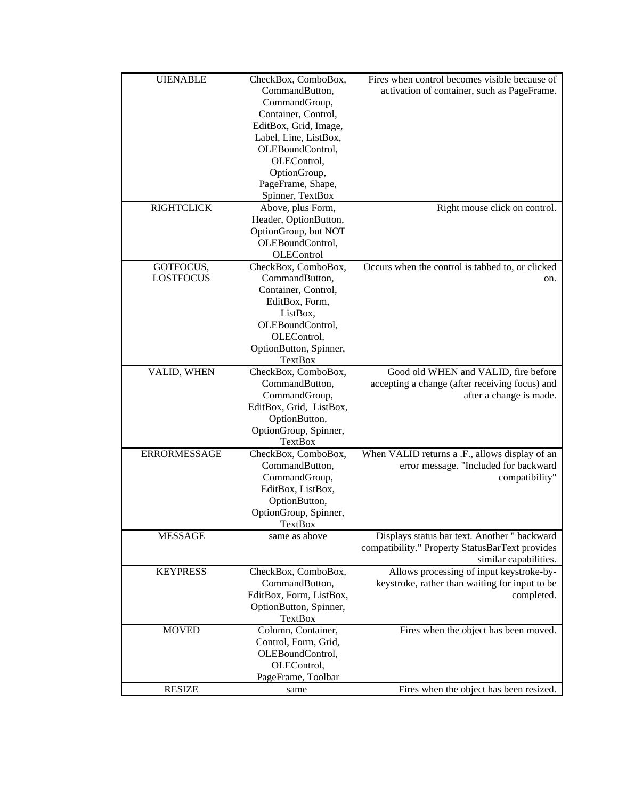| <b>UIENABLE</b><br><b>RIGHTCLICK</b> | CheckBox, ComboBox,<br>CommandButton,<br>CommandGroup,<br>Container, Control,<br>EditBox, Grid, Image,<br>Label, Line, ListBox,<br>OLEBoundControl,<br>OLEControl,<br>OptionGroup,<br>PageFrame, Shape,<br>Spinner, TextBox | Fires when control becomes visible because of<br>activation of container, such as PageFrame.                             |
|--------------------------------------|-----------------------------------------------------------------------------------------------------------------------------------------------------------------------------------------------------------------------------|--------------------------------------------------------------------------------------------------------------------------|
|                                      | Above, plus Form,<br>Header, OptionButton,<br>OptionGroup, but NOT<br>OLEBoundControl,<br>OLEControl                                                                                                                        | Right mouse click on control.                                                                                            |
| GOTFOCUS,<br><b>LOSTFOCUS</b>        | CheckBox, ComboBox,<br>CommandButton,<br>Container, Control,<br>EditBox, Form,<br>ListBox,<br>OLEBoundControl,<br>OLEControl,<br>OptionButton, Spinner,<br>TextBox                                                          | Occurs when the control is tabbed to, or clicked<br>on.                                                                  |
| VALID, WHEN                          | CheckBox, ComboBox,<br>CommandButton,<br>CommandGroup,<br>EditBox, Grid, ListBox,<br>OptionButton,<br>OptionGroup, Spinner,<br><b>TextBox</b>                                                                               | Good old WHEN and VALID, fire before<br>accepting a change (after receiving focus) and<br>after a change is made.        |
| <b>ERRORMESSAGE</b>                  | CheckBox, ComboBox,<br>CommandButton,<br>CommandGroup,<br>EditBox, ListBox,<br>OptionButton,<br>OptionGroup, Spinner,<br>TextBox                                                                                            | When VALID returns a .F., allows display of an<br>error message. "Included for backward<br>compatibility"                |
| <b>MESSAGE</b>                       | same as above                                                                                                                                                                                                               | Displays status bar text. Another " backward<br>compatibility." Property StatusBarText provides<br>similar capabilities. |
| <b>KEYPRESS</b>                      | CheckBox, ComboBox,<br>CommandButton,<br>EditBox, Form, ListBox,<br>OptionButton, Spinner,<br><b>TextBox</b>                                                                                                                | Allows processing of input keystroke-by-<br>keystroke, rather than waiting for input to be<br>completed.                 |
| <b>MOVED</b>                         | Column, Container,<br>Control, Form, Grid,<br>OLEBoundControl,<br>OLEControl,<br>PageFrame, Toolbar                                                                                                                         | Fires when the object has been moved.                                                                                    |
| <b>RESIZE</b>                        | same                                                                                                                                                                                                                        | Fires when the object has been resized.                                                                                  |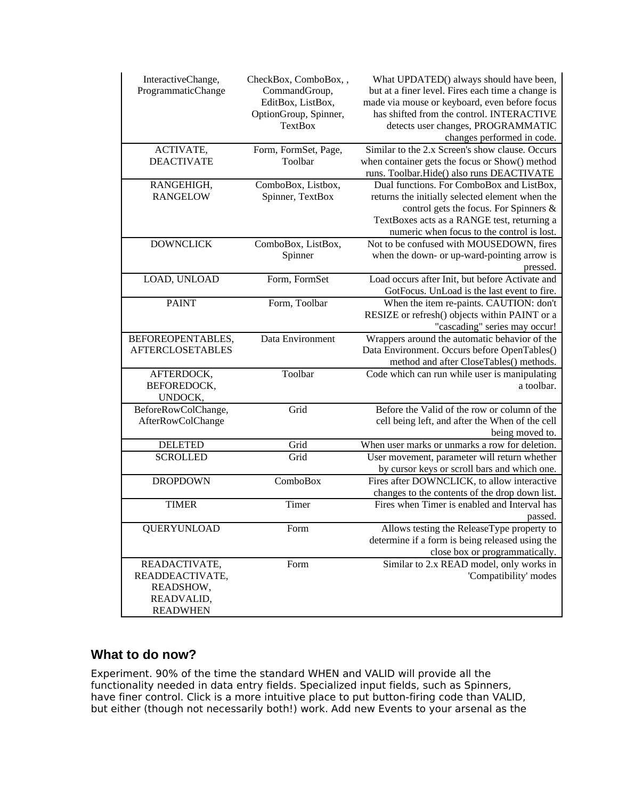| InteractiveChange,<br>ProgrammaticChange                                       | CheckBox, ComboBox, ,<br>CommandGroup,<br>EditBox, ListBox,<br>OptionGroup, Spinner,<br><b>TextBox</b> | What UPDATED() always should have been,<br>but at a finer level. Fires each time a change is<br>made via mouse or keyboard, even before focus<br>has shifted from the control. INTERACTIVE<br>detects user changes, PROGRAMMATIC<br>changes performed in code. |
|--------------------------------------------------------------------------------|--------------------------------------------------------------------------------------------------------|----------------------------------------------------------------------------------------------------------------------------------------------------------------------------------------------------------------------------------------------------------------|
| ACTIVATE,<br><b>DEACTIVATE</b>                                                 | Form, FormSet, Page,<br>Toolbar                                                                        | Similar to the 2.x Screen's show clause. Occurs<br>when container gets the focus or Show() method<br>runs. Toolbar. Hide() also runs DEACTIVATE                                                                                                                |
| RANGEHIGH,<br><b>RANGELOW</b>                                                  | ComboBox, Listbox,<br>Spinner, TextBox                                                                 | Dual functions. For ComboBox and ListBox,<br>returns the initially selected element when the<br>control gets the focus. For Spinners &<br>TextBoxes acts as a RANGE test, returning a<br>numeric when focus to the control is lost.                            |
| <b>DOWNCLICK</b>                                                               | ComboBox, ListBox,<br>Spinner                                                                          | Not to be confused with MOUSEDOWN, fires<br>when the down- or up-ward-pointing arrow is<br>pressed.                                                                                                                                                            |
| LOAD, UNLOAD                                                                   | Form, FormSet                                                                                          | Load occurs after Init, but before Activate and<br>GotFocus. UnLoad is the last event to fire.                                                                                                                                                                 |
| <b>PAINT</b>                                                                   | Form, Toolbar                                                                                          | When the item re-paints. CAUTION: don't<br>RESIZE or refresh() objects within PAINT or a<br>"cascading" series may occur!                                                                                                                                      |
| BEFOREOPENTABLES,<br><b>AFTERCLOSETABLES</b>                                   | Data Environment                                                                                       | Wrappers around the automatic behavior of the<br>Data Environment. Occurs before OpenTables()<br>method and after CloseTables() methods.                                                                                                                       |
| AFTERDOCK,<br>BEFOREDOCK,<br>UNDOCK,                                           | Toolbar                                                                                                | Code which can run while user is manipulating<br>a toolbar.                                                                                                                                                                                                    |
| BeforeRowColChange,<br>AfterRowColChange                                       | Grid                                                                                                   | Before the Valid of the row or column of the<br>cell being left, and after the When of the cell<br>being moved to.                                                                                                                                             |
| <b>DELETED</b>                                                                 | Grid                                                                                                   | When user marks or unmarks a row for deletion.                                                                                                                                                                                                                 |
| <b>SCROLLED</b>                                                                | Grid                                                                                                   | User movement, parameter will return whether<br>by cursor keys or scroll bars and which one.                                                                                                                                                                   |
| <b>DROPDOWN</b>                                                                | ComboBox                                                                                               | Fires after DOWNCLICK, to allow interactive<br>changes to the contents of the drop down list.                                                                                                                                                                  |
| <b>TIMER</b>                                                                   | Timer                                                                                                  | Fires when Timer is enabled and Interval has<br>passed.                                                                                                                                                                                                        |
| <b>QUERYUNLOAD</b>                                                             | Form                                                                                                   | Allows testing the ReleaseType property to<br>determine if a form is being released using the<br>close box or programmatically.                                                                                                                                |
| READACTIVATE,<br>READDEACTIVATE,<br>READSHOW,<br>READVALID,<br><b>READWHEN</b> | Form                                                                                                   | Similar to 2.x READ model, only works in<br>'Compatibility' modes                                                                                                                                                                                              |

#### **What to do now?**

Experiment. 90% of the time the standard WHEN and VALID will provide all the functionality needed in data entry fields. Specialized input fields, such as Spinners, have finer control. Click is a more intuitive place to put button-firing code than VALID, but either (though not necessarily both!) work. Add new Events to your arsenal as the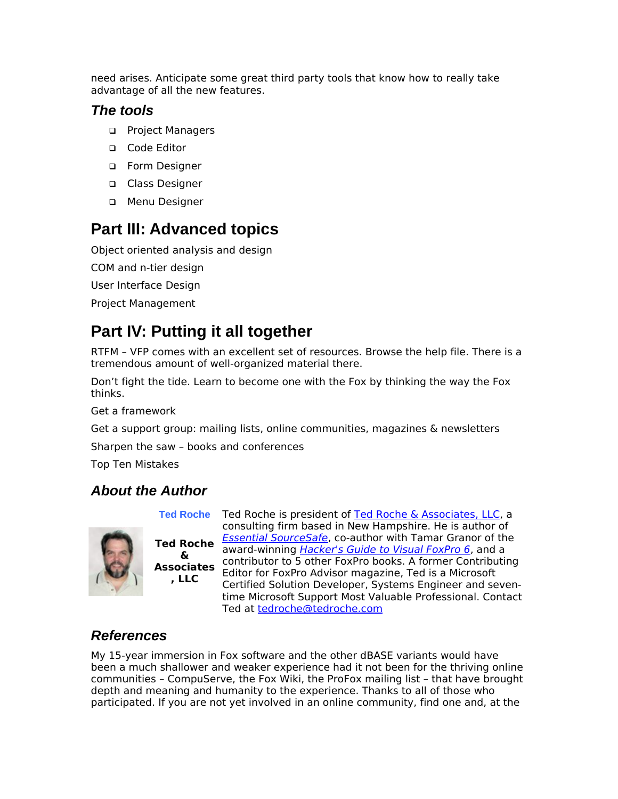need arises. Anticipate some great third party tools that know how to really take advantage of all the new features.

#### *The tools*

- □ Project Managers
- □ Code Editor
- □ Form Designer
- □ Class Designer
- Menu Designer

## **Part III: Advanced topics**

Object oriented analysis and design

COM and n-tier design

User Interface Design

Project Management

# **Part IV: Putting it all together**

RTFM – VFP comes with an excellent set of resources. Browse the help file. There is a tremendous amount of well-organized material there.

Don't fight the tide. Learn to become one with the Fox by thinking the way the Fox thinks.

Get a framework

Get a support group: mailing lists, online communities, magazines & newsletters

Sharpen the saw – books and conferences

Top Ten Mistakes

### *About the Author*



**& Associates , LLC**

**Ted Roche** Ted Roche is president of [Ted Roche & Associates, LLC,](http://www.tedroche.com/) a **Ted Roche** [Essential SourceSafe](http://www.hentzenwerke.com/catalogavailability/essvss.htm), co-author with Tamar Granor of the<br>**Ted Roche** award winning Hackar's Guide to Visual FaxPre 6, and a consulting firm based in New Hampshire. He is author of award-winning *[Hacker's Guide to Visual FoxPro 6](http://www.hentzenwerke.com/catalogavailability/hackfox6.htm)*, and a contributor to 5 other FoxPro books. A former Contributing Editor for FoxPro Advisor magazine, Ted is a Microsoft Certified Solution Developer, Systems Engineer and seventime Microsoft Support Most Valuable Professional. Contact Ted at [tedroche@tedroche.com](mailto:tedroche@tedroche.com)

### *References*

My 15-year immersion in Fox software and the other dBASE variants would have been a much shallower and weaker experience had it not been for the thriving online communities – CompuServe, the Fox Wiki, the ProFox mailing list – that have brought depth and meaning and humanity to the experience. Thanks to all of those who participated. If you are not yet involved in an online community, find one and, at the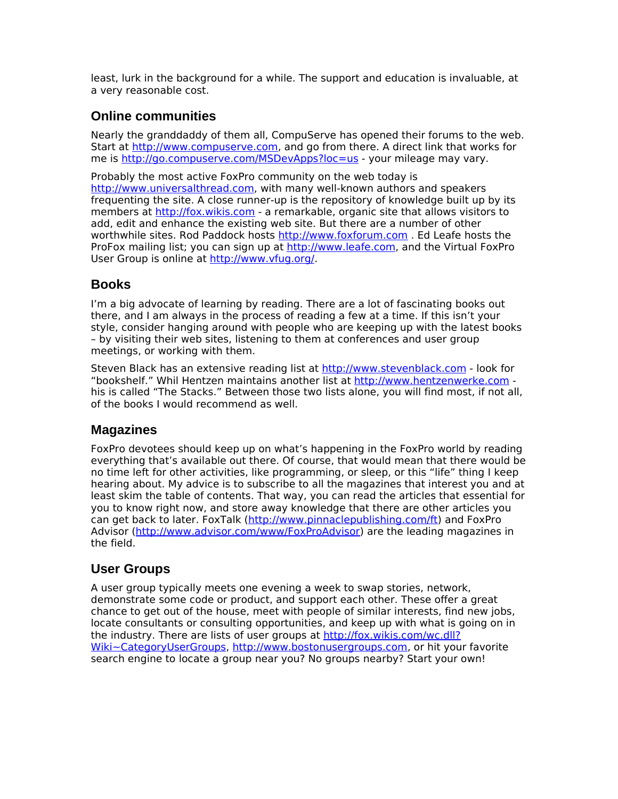least, lurk in the background for a while. The support and education is invaluable, at a very reasonable cost.

#### **Online communities**

Nearly the granddaddy of them all, CompuServe has opened their forums to the web. Start at [http://www.compuserve.com,](http://www.compuserve.com/) and go from there. A direct link that works for me is<http://go.compuserve.com/MSDevApps?loc=us>- your mileage may vary.

Probably the most active FoxPro community on the web today is [http://www.universalthread.com,](http://www.universalthread.com/) with many well-known authors and speakers frequenting the site. A close runner-up is the repository of knowledge built up by its members at [http://fox.wikis.com](http://fox.wikis.com/) - a remarkable, organic site that allows visitors to add, edit and enhance the existing web site. But there are a number of other worthwhile sites. Rod Paddock hosts [http://www.foxforum.com](http://www.foxforum.com/) . Ed Leafe hosts the ProFox mailing list; you can sign up at [http://www.leafe.com,](http://www.leafe.com/) and the Virtual FoxPro User Group is online at [http://www.vfug.org/.](http://www.vfug.org/)

#### **Books**

I'm a big advocate of learning by reading. There are a lot of fascinating books out there, and I am always in the process of reading a few at a time. If this isn't your style, consider hanging around with people who are keeping up with the latest books – by visiting their web sites, listening to them at conferences and user group meetings, or working with them.

Steven Black has an extensive reading list at [http://www.stevenblack.com](http://www.stevenblack.com/) - look for "bookshelf." Whil Hentzen maintains another list at [http://www.hentzenwerke.com](http://www.hentzenwerke.com/)  his is called "The Stacks." Between those two lists alone, you will find most, if not all, of the books I would recommend as well.

#### **Magazines**

FoxPro devotees should keep up on what's happening in the FoxPro world by reading everything that's available out there. Of course, that would mean that there would be no time left for other activities, like programming, or sleep, or this "life" thing I keep hearing about. My advice is to subscribe to all the magazines that interest you and at least skim the table of contents. That way, you can read the articles that essential for you to know right now, and store away knowledge that there are other articles you can get back to later. FoxTalk [\(http://www.pinnaclepublishing.com/ft\)](http://www.pinnaclepublishing.com/ft) and FoxPro Advisor [\(http://www.advisor.com/www/FoxProAdvisor\)](http://www.advisor.com/www/FoxProAdvisor) are the leading magazines in the field.

#### **User Groups**

A user group typically meets one evening a week to swap stories, network, demonstrate some code or product, and support each other. These offer a great chance to get out of the house, meet with people of similar interests, find new jobs, locate consultants or consulting opportunities, and keep up with what is going on in the industry. There are lists of user groups at [http://fox.wikis.com/wc.dll?](http://fox.wikis.com/wc.dll?Wiki~CategoryUserGroups) [Wiki~CategoryUserGroups,](http://fox.wikis.com/wc.dll?Wiki~CategoryUserGroups) [http://www.bostonusergroups.com,](http://www.bostonusergroups.com/) or hit your favorite search engine to locate a group near you? No groups nearby? Start your own!